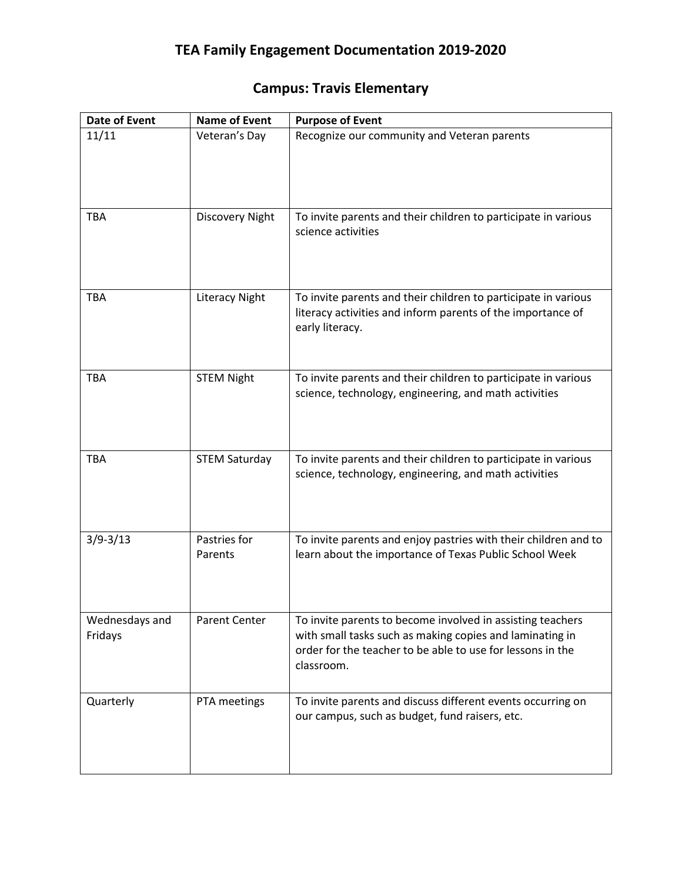## **Campus: Travis Elementary**

| <b>Date of Event</b>      | <b>Name of Event</b>    | <b>Purpose of Event</b>                                                                                                                                                                            |
|---------------------------|-------------------------|----------------------------------------------------------------------------------------------------------------------------------------------------------------------------------------------------|
| 11/11                     | Veteran's Day           | Recognize our community and Veteran parents                                                                                                                                                        |
| TBA                       | Discovery Night         | To invite parents and their children to participate in various<br>science activities                                                                                                               |
| <b>TBA</b>                | <b>Literacy Night</b>   | To invite parents and their children to participate in various<br>literacy activities and inform parents of the importance of<br>early literacy.                                                   |
| <b>TBA</b>                | <b>STEM Night</b>       | To invite parents and their children to participate in various<br>science, technology, engineering, and math activities                                                                            |
| <b>TBA</b>                | <b>STEM Saturday</b>    | To invite parents and their children to participate in various<br>science, technology, engineering, and math activities                                                                            |
| $3/9 - 3/13$              | Pastries for<br>Parents | To invite parents and enjoy pastries with their children and to<br>learn about the importance of Texas Public School Week                                                                          |
| Wednesdays and<br>Fridays | <b>Parent Center</b>    | To invite parents to become involved in assisting teachers<br>with small tasks such as making copies and laminating in<br>order for the teacher to be able to use for lessons in the<br>classroom. |
| Quarterly                 | PTA meetings            | To invite parents and discuss different events occurring on<br>our campus, such as budget, fund raisers, etc.                                                                                      |